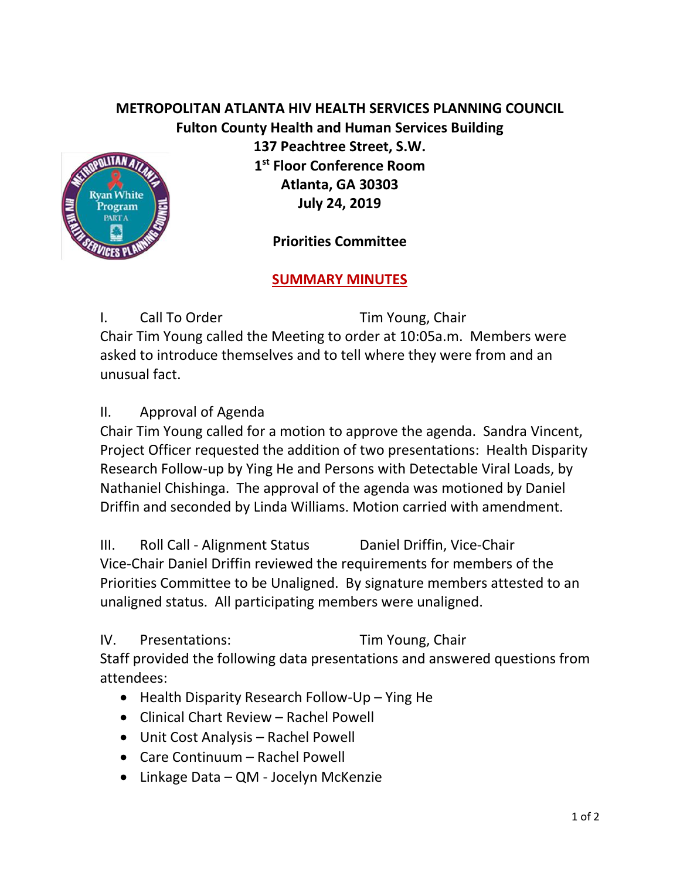## **METROPOLITAN ATLANTA HIV HEALTH SERVICES PLANNING COUNCIL Fulton County Health and Human Services Building**



**137 Peachtree Street, S.W. 1 st Floor Conference Room Atlanta, GA 30303 July 24, 2019**

**Priorities Committee** 

## **SUMMARY MINUTES**

I. Call To Order Tim Young, Chair Chair Tim Young called the Meeting to order at 10:05a.m. Members were asked to introduce themselves and to tell where they were from and an unusual fact.

II. Approval of Agenda

Chair Tim Young called for a motion to approve the agenda. Sandra Vincent, Project Officer requested the addition of two presentations: Health Disparity Research Follow-up by Ying He and Persons with Detectable Viral Loads, by Nathaniel Chishinga. The approval of the agenda was motioned by Daniel Driffin and seconded by Linda Williams. Motion carried with amendment.

III. Roll Call - Alignment Status Daniel Driffin, Vice-Chair Vice-Chair Daniel Driffin reviewed the requirements for members of the Priorities Committee to be Unaligned. By signature members attested to an unaligned status. All participating members were unaligned.

IV. Presentations: Tim Young, Chair

Staff provided the following data presentations and answered questions from attendees:

- Health Disparity Research Follow-Up Ying He
- Clinical Chart Review Rachel Powell
- Unit Cost Analysis Rachel Powell
- Care Continuum Rachel Powell
- Linkage Data QM Jocelyn McKenzie